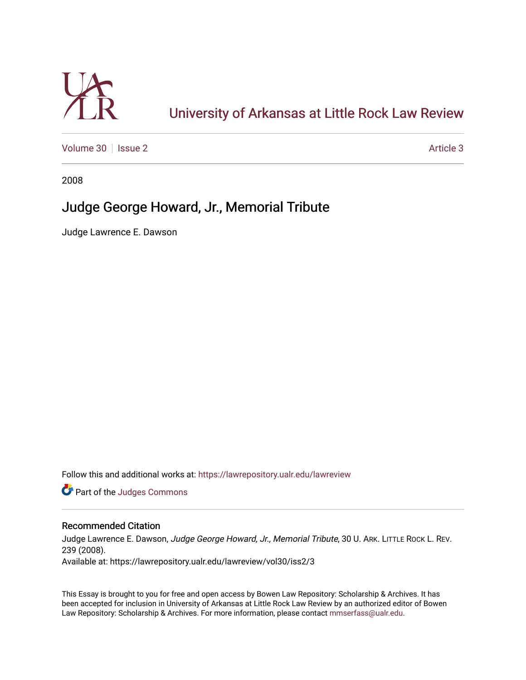

# [University of Arkansas at Little Rock Law Review](https://lawrepository.ualr.edu/lawreview)

[Volume 30](https://lawrepository.ualr.edu/lawreview/vol30) | [Issue 2](https://lawrepository.ualr.edu/lawreview/vol30/iss2) Article 3

2008

## Judge George Howard, Jr., Memorial Tribute

Judge Lawrence E. Dawson

Follow this and additional works at: [https://lawrepository.ualr.edu/lawreview](https://lawrepository.ualr.edu/lawreview?utm_source=lawrepository.ualr.edu%2Flawreview%2Fvol30%2Fiss2%2F3&utm_medium=PDF&utm_campaign=PDFCoverPages) 

Part of the [Judges Commons](http://network.bepress.com/hgg/discipline/849?utm_source=lawrepository.ualr.edu%2Flawreview%2Fvol30%2Fiss2%2F3&utm_medium=PDF&utm_campaign=PDFCoverPages) 

### Recommended Citation

Judge Lawrence E. Dawson, Judge George Howard, Jr., Memorial Tribute, 30 U. ARK. LITTLE ROCK L. REV. 239 (2008). Available at: https://lawrepository.ualr.edu/lawreview/vol30/iss2/3

This Essay is brought to you for free and open access by Bowen Law Repository: Scholarship & Archives. It has been accepted for inclusion in University of Arkansas at Little Rock Law Review by an authorized editor of Bowen Law Repository: Scholarship & Archives. For more information, please contact [mmserfass@ualr.edu](mailto:mmserfass@ualr.edu).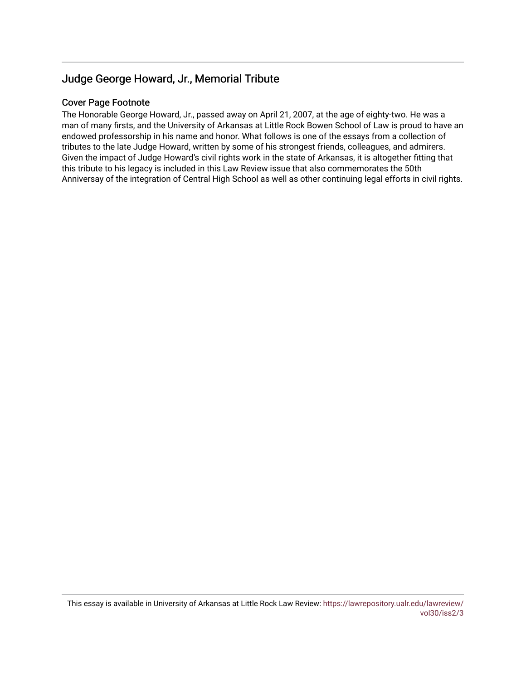### Judge George Howard, Jr., Memorial Tribute

### Cover Page Footnote

The Honorable George Howard, Jr., passed away on April 21, 2007, at the age of eighty-two. He was a man of many firsts, and the University of Arkansas at Little Rock Bowen School of Law is proud to have an endowed professorship in his name and honor. What follows is one of the essays from a collection of tributes to the late Judge Howard, written by some of his strongest friends, colleagues, and admirers. Given the impact of Judge Howard's civil rights work in the state of Arkansas, it is altogether fitting that this tribute to his legacy is included in this Law Review issue that also commemorates the 50th Anniversay of the integration of Central High School as well as other continuing legal efforts in civil rights.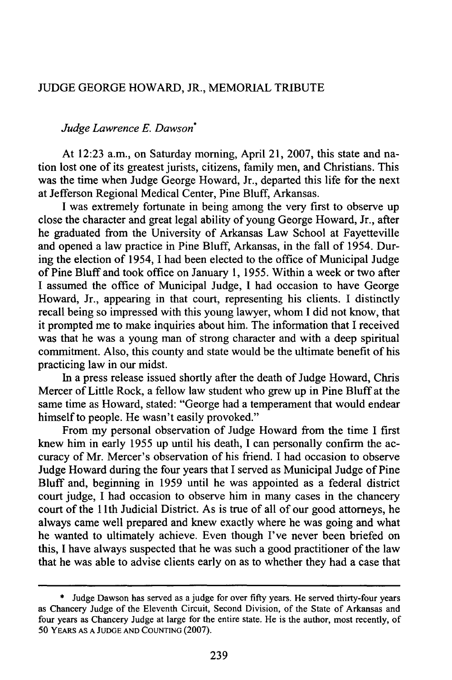#### JUDGE GEORGE HOWARD, JR., MEMORIAL TRIBUTE

#### *Judge Lawrence E. Dawson\**

At 12:23 a.m., on Saturday morning, April 21, 2007, this state and nation lost one of its greatest jurists, citizens, family men, and Christians. This was the time when Judge George Howard, Jr., departed this life for the next at Jefferson Regional Medical Center, Pine Bluff, Arkansas.

I was extremely fortunate in being among the very first to observe up close the character and great legal ability of young George Howard, Jr., after he graduated from the University of Arkansas Law School at Fayetteville and opened a law practice in Pine Bluff, Arkansas, in the fall of 1954. During the election of 1954, I had been elected to the office of Municipal Judge of Pine Bluff and took office on January 1, 1955. Within a week or two after I assumed the office of Municipal Judge, I had occasion to have George Howard, Jr., appearing in that court, representing his clients. I distinctly recall being so impressed with this young lawyer, whom I did not know, that it prompted me to make inquiries about him. The information that I received was that he was a young man of strong character and with a deep spiritual commitment. Also, this county and state would be the ultimate benefit of his practicing law in our midst.

In a press release issued shortly after the death of Judge Howard, Chris Mercer of Little Rock, a fellow law student who grew up in Pine Bluff at the same time as Howard, stated: "George had a temperament that would endear himself to people. He wasn't easily provoked."

From my personal observation of Judge Howard from the time I first knew him in early 1955 up until his death, I can personally confirm the accuracy of Mr. Mercer's observation of his friend. I had occasion to observe Judge Howard during the four years that I served as Municipal Judge of Pine Bluff and, beginning in 1959 until he was appointed as a federal district court judge, I had occasion to observe him in many cases in the chancery court of the 1 th Judicial District. As is true of all of our good attorneys, he always came well prepared and knew exactly where he was going and what he wanted to ultimately achieve. Even though I've never been briefed on this, I have always suspected that he was such a good practitioner of the law that he was able to advise clients early on as to whether they had a case that

<sup>\*</sup> Judge Dawson has served as a judge for over fifty years. He served thirty-four years as Chancery Judge of the Eleventh Circuit, Second Division, of the State of Arkansas and four years as Chancery Judge at large for the entire state. He is the author, most recently, of 50 YEARS **AS A JUDGE AND COUNTING** (2007).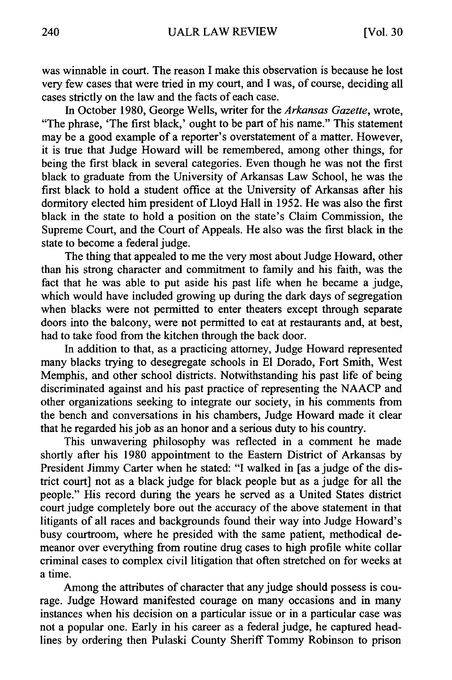was winnable in court. The reason I make this observation is because he lost very few cases that were tried in my court, and I was, of course, deciding all cases strictly on the law and the facts of each case.

In October 1980, George Wells, writer for the *Arkansas Gazette,* wrote, "The phrase, 'The first black,' ought to be part of his name." This statement may be a good example of a reporter's overstatement of a matter. However, it is true that Judge Howard will be remembered, among other things, for being the first black in several categories. Even though he was not the first black to graduate from the University of Arkansas Law School, he was the first black to hold a student office at the University of Arkansas after his dormitory elected him president of Lloyd Hall in 1952. He was also the first black in the state to hold a position on the state's Claim Commission, the Supreme Court, and the Court of Appeals. He also was the first black in the state to become a federal judge.

The thing that appealed to me the very most about Judge Howard, other than his strong character and commitment to family and his faith, was the fact that he was able to put aside his past life when he became a judge, which would have included growing up during the dark days of segregation when blacks were not permitted to enter theaters except through separate doors into the balcony, were not permitted to eat at restaurants and, at best, had to take food from the kitchen through the back door.

In addition to that, as a practicing attorney, Judge Howard represented many blacks trying to desegregate schools in **El** Dorado, Fort Smith, West Memphis, and other school districts. Notwithstanding his past life of being discriminated against and his past practice of representing the NAACP and other organizations seeking to integrate our society, in his comments from the bench and conversations in his chambers, Judge Howard made it clear that he regarded his job as an honor and a serious duty to his country.

This unwavering philosophy was reflected in a comment he made shortly after his 1980 appointment to the Eastern District of Arkansas by President Jimmy Carter when he stated: "I walked in [as a judge of the district court] not as a black judge for black people but as a judge for all the people." His record during the years he served as a United States district court judge completely bore out the accuracy of the above statement in that litigants of all races and backgrounds found their way into Judge Howard's busy courtroom, where he presided with the same patient, methodical demeanor over everything from routine drug cases to high profile white collar criminal cases to complex civil litigation that often stretched on for weeks at a time.

Among the attributes of character that any judge should possess is courage. Judge Howard manifested courage on many occasions and in many instances when his decision on a particular issue or in a particular case was not a popular one. Early in his career as a federal judge, he captured headlines by ordering then Pulaski County Sheriff Tommy Robinson to prison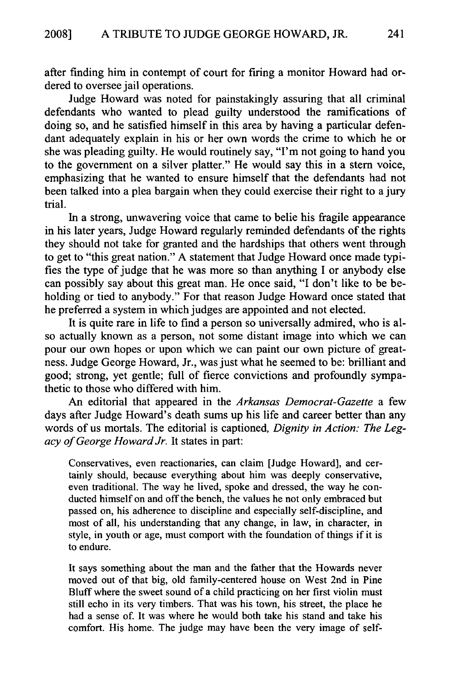after finding him in contempt of court for firing a monitor Howard had ordered to oversee jail operations.

Judge Howard was noted for painstakingly assuring that all criminal defendants who wanted to plead guilty understood the ramifications of doing so, and he satisfied himself in this area by having a particular defendant adequately explain in his or her own words the crime to which he or she was pleading guilty. He would routinely say, "I'm not going to hand you to the government on a silver platter." He would say this in a stem voice, emphasizing that he wanted to ensure himself that the defendants had not been talked into a plea bargain when they could exercise their right to a jury trial.

In a strong, unwavering voice that came to belie his fragile appearance in his later years, Judge Howard regularly reminded defendants of the rights they should not take for granted and the hardships that others went through to get to "this great nation." A statement that Judge Howard once made typifies the type of judge that he was more so than anything I or anybody else can possibly say about this great man. He once said, "I don't like to be beholding or tied to anybody." For that reason Judge Howard once stated that he preferred a system in which judges are appointed and not elected.

It is quite rare in life to find a person so universally admired, who is also actually known as a person, not some distant image into which we can pour our own hopes or upon which we can paint our own picture of greatness. Judge George Howard, Jr., was just what he seemed to be: brilliant and good; strong, yet gentle; full of fierce convictions and profoundly sympathetic to those who differed with him.

An editorial that appeared in the *Arkansas Democrat-Gazette* a few days after Judge Howard's death sums up his life and career better than any words of us mortals. The editorial is captioned, *Dignity in Action: The Legacy of George Howard Jr.* It states in part:

Conservatives, even reactionaries, can claim [Judge Howard], and certainly should, because everything about him was deeply conservative, even traditional. The way he lived, spoke and dressed, the way he conducted himself on and off the bench, the values he not only embraced but passed on, his adherence to discipline and especially self-discipline, and most of all, his understanding that any change, in law, in character, in style, in youth or age, must comport with the foundation of things if it is to endure.

It says something about the man and the father that the Howards never moved out of that big, old family-centered house on West 2nd in Pine Bluff where the sweet sound of a child practicing on her first violin must still echo in its very timbers. That was his town, his street, the place he had a sense of. It was where he would both take his stand and take his comfort. His home. The judge may have been the very image of self